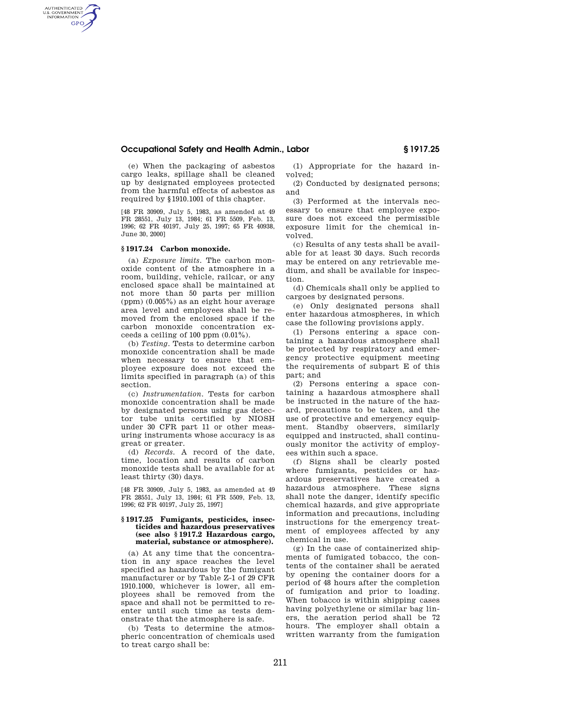## **Occupational Safety and Health Admin., Labor § 1917.25**

(e) When the packaging of asbestos cargo leaks, spillage shall be cleaned up by designated employees protected from the harmful effects of asbestos as required by §1910.1001 of this chapter.

[48 FR 30909, July 5, 1983, as amended at 49 FR 28551, July 13, 1984; 61 FR 5509, Feb. 13, 1996; 62 FR 40197, July 25, 1997; 65 FR 40938, June 30, 2000]

# **§ 1917.24 Carbon monoxide.**

AUTHENTICATED<br>U.S. GOVERNMENT<br>INFORMATION **GPO** 

> (a) *Exposure limits.* The carbon monoxide content of the atmosphere in a room, building, vehicle, railcar, or any enclosed space shall be maintained at not more than 50 parts per million (ppm) (0.005%) as an eight hour average area level and employees shall be removed from the enclosed space if the carbon monoxide concentration exceeds a ceiling of  $100$  ppm  $(0.01\%)$ .

> (b) *Testing.* Tests to determine carbon monoxide concentration shall be made when necessary to ensure that employee exposure does not exceed the limits specified in paragraph (a) of this section.

> (c) *Instrumentation.* Tests for carbon monoxide concentration shall be made by designated persons using gas detector tube units certified by NIOSH under 30 CFR part 11 or other measuring instruments whose accuracy is as great or greater.

> (d) *Records.* A record of the date, time, location and results of carbon monoxide tests shall be available for at least thirty (30) days.

> [48 FR 30909, July 5, 1983, as amended at 49 FR 28551, July 13, 1984; 61 FR 5509, Feb. 13, 1996; 62 FR 40197, July 25, 1997]

#### **§ 1917.25 Fumigants, pesticides, insecticides and hazardous preservatives (see also § 1917.2 Hazardous cargo, material, substance or atmosphere).**

(a) At any time that the concentration in any space reaches the level specified as hazardous by the fumigant manufacturer or by Table Z-1 of 29 CFR 1910.1000, whichever is lower, all employees shall be removed from the space and shall not be permitted to reenter until such time as tests demonstrate that the atmosphere is safe.

(b) Tests to determine the atmospheric concentration of chemicals used to treat cargo shall be:

(1) Appropriate for the hazard involved;

(2) Conducted by designated persons; and

(3) Performed at the intervals necessary to ensure that employee exposure does not exceed the permissible exposure limit for the chemical involved.

(c) Results of any tests shall be available for at least 30 days. Such records may be entered on any retrievable medium, and shall be available for inspection.

(d) Chemicals shall only be applied to cargoes by designated persons.

(e) Only designated persons shall enter hazardous atmospheres, in which case the following provisions apply.

(1) Persons entering a space containing a hazardous atmosphere shall be protected by respiratory and emergency protective equipment meeting the requirements of subpart E of this part; and

(2) Persons entering a space containing a hazardous atmosphere shall be instructed in the nature of the hazard, precautions to be taken, and the use of protective and emergency equipment. Standby observers, similarly equipped and instructed, shall continuously monitor the activity of employees within such a space.

(f) Signs shall be clearly posted where fumigants, pesticides or hazardous preservatives have created a hazardous atmosphere. These signs shall note the danger, identify specific chemical hazards, and give appropriate information and precautions, including instructions for the emergency treatment of employees affected by any chemical in use.

(g) In the case of containerized shipments of fumigated tobacco, the contents of the container shall be aerated by opening the container doors for a period of 48 hours after the completion of fumigation and prior to loading. When tobacco is within shipping cases having polyethylene or similar bag liners, the aeration period shall be 72 hours. The employer shall obtain a written warranty from the fumigation